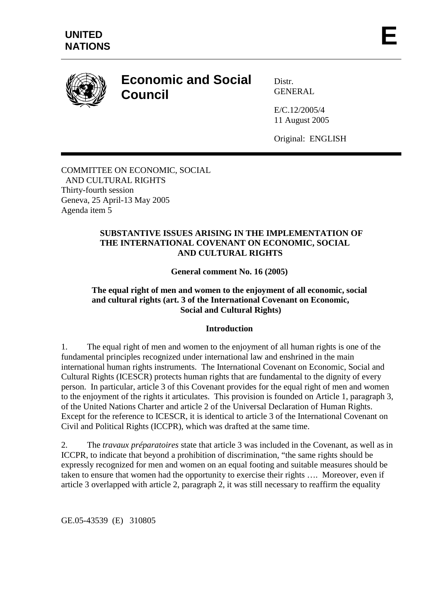

# **Economic and Social Council**

Distr. **GENERAL** 

E/C.12/2005/4 11 August 2005

Original: ENGLISH

COMMITTEE ON ECONOMIC, SOCIAL AND CULTURAL RIGHTS Thirty-fourth session Geneva, 25 April-13 May 2005 Agenda item 5

#### **SUBSTANTIVE ISSUES ARISING IN THE IMPLEMENTATION OF THE INTERNATIONAL COVENANT ON ECONOMIC, SOCIAL AND CULTURAL RIGHTS**

**General comment No. 16 (2005)** 

## **The equal right of men and women to the enjoyment of all economic, social and cultural rights (art. 3 of the International Covenant on Economic, Social and Cultural Rights)**

## **Introduction**

1. The equal right of men and women to the enjoyment of all human rights is one of the fundamental principles recognized under international law and enshrined in the main international human rights instruments. The International Covenant on Economic, Social and Cultural Rights (ICESCR) protects human rights that are fundamental to the dignity of every person. In particular, article 3 of this Covenant provides for the equal right of men and women to the enjoyment of the rights it articulates. This provision is founded on Article 1, paragraph 3, of the United Nations Charter and article 2 of the Universal Declaration of Human Rights. Except for the reference to ICESCR, it is identical to article 3 of the International Covenant on Civil and Political Rights (ICCPR), which was drafted at the same time.

2. The *travaux préparatoires* state that article 3 was included in the Covenant, as well as in ICCPR, to indicate that beyond a prohibition of discrimination, "the same rights should be expressly recognized for men and women on an equal footing and suitable measures should be taken to ensure that women had the opportunity to exercise their rights …. Moreover, even if article 3 overlapped with article 2, paragraph 2, it was still necessary to reaffirm the equality

GE.05-43539 (E) 310805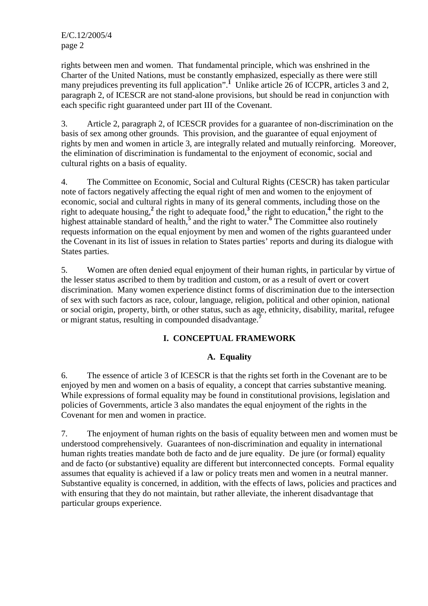rights between men and women. That fundamental principle, which was enshrined in the Charter of the United Nations, must be constantly emphasized, especially as there were still many prejudices preventing its full application".<sup>1</sup> Unlike article 26 of ICCPR, articles 3 and 2, paragraph 2, of ICESCR are not stand-alone provisions, but should be read in conjunction with each specific right guaranteed under part III of the Covenant.

3. Article 2, paragraph 2, of ICESCR provides for a guarantee of non-discrimination on the basis of sex among other grounds. This provision, and the guarantee of equal enjoyment of rights by men and women in article 3, are integrally related and mutually reinforcing. Moreover, the elimination of discrimination is fundamental to the enjoyment of economic, social and cultural rights on a basis of equality.

4. The Committee on Economic, Social and Cultural Rights (CESCR) has taken particular note of factors negatively affecting the equal right of men and women to the enjoyment of economic, social and cultural rights in many of its general comments, including those on the right to adequate housing,<sup>2</sup> the right to adequate food,<sup>3</sup> the right to education,<sup>4</sup> the right to the highest attainable standard of health,<sup>5</sup> and the right to water.<sup>6</sup> The Committee also routinely requests information on the equal enjoyment by men and women of the rights guaranteed under the Covenant in its list of issues in relation to States parties' reports and during its dialogue with States parties.

5. Women are often denied equal enjoyment of their human rights, in particular by virtue of the lesser status ascribed to them by tradition and custom, or as a result of overt or covert discrimination. Many women experience distinct forms of discrimination due to the intersection of sex with such factors as race, colour, language, religion, political and other opinion, national or social origin, property, birth, or other status, such as age, ethnicity, disability, marital, refugee or migrant status, resulting in compounded disadvantage.**<sup>7</sup>**

# **I. CONCEPTUAL FRAMEWORK**

# **A. Equality**

6. The essence of article 3 of ICESCR is that the rights set forth in the Covenant are to be enjoyed by men and women on a basis of equality, a concept that carries substantive meaning. While expressions of formal equality may be found in constitutional provisions, legislation and policies of Governments, article 3 also mandates the equal enjoyment of the rights in the Covenant for men and women in practice.

7. The enjoyment of human rights on the basis of equality between men and women must be understood comprehensively. Guarantees of non-discrimination and equality in international human rights treaties mandate both de facto and de jure equality. De jure (or formal) equality and de facto (or substantive) equality are different but interconnected concepts. Formal equality assumes that equality is achieved if a law or policy treats men and women in a neutral manner. Substantive equality is concerned, in addition, with the effects of laws, policies and practices and with ensuring that they do not maintain, but rather alleviate, the inherent disadvantage that particular groups experience.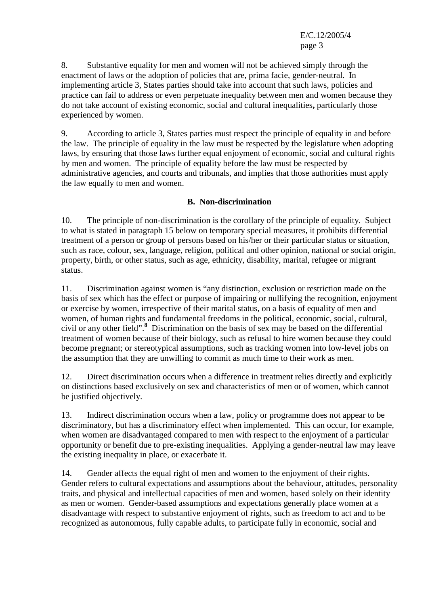8. Substantive equality for men and women will not be achieved simply through the enactment of laws or the adoption of policies that are, prima facie, gender-neutral. In implementing article 3, States parties should take into account that such laws, policies and practice can fail to address or even perpetuate inequality between men and women because they do not take account of existing economic, social and cultural inequalities**,** particularly those experienced by women.

9. According to article 3, States parties must respect the principle of equality in and before the law. The principle of equality in the law must be respected by the legislature when adopting laws, by ensuring that those laws further equal enjoyment of economic, social and cultural rights by men and women. The principle of equality before the law must be respected by administrative agencies, and courts and tribunals, and implies that those authorities must apply the law equally to men and women.

## **B. Non-discrimination**

10. The principle of non-discrimination is the corollary of the principle of equality. Subject to what is stated in paragraph 15 below on temporary special measures, it prohibits differential treatment of a person or group of persons based on his/her or their particular status or situation, such as race, colour, sex, language, religion, political and other opinion, national or social origin, property, birth, or other status, such as age, ethnicity, disability, marital, refugee or migrant status.

11. Discrimination against women is "any distinction, exclusion or restriction made on the basis of sex which has the effect or purpose of impairing or nullifying the recognition, enjoyment or exercise by women, irrespective of their marital status, on a basis of equality of men and women, of human rights and fundamental freedoms in the political, economic, social, cultural, civil or any other field".**<sup>8</sup>** Discrimination on the basis of sex may be based on the differential treatment of women because of their biology, such as refusal to hire women because they could become pregnant; or stereotypical assumptions, such as tracking women into low-level jobs on the assumption that they are unwilling to commit as much time to their work as men.

12. Direct discrimination occurs when a difference in treatment relies directly and explicitly on distinctions based exclusively on sex and characteristics of men or of women, which cannot be justified objectively.

13. Indirect discrimination occurs when a law, policy or programme does not appear to be discriminatory, but has a discriminatory effect when implemented. This can occur, for example, when women are disadvantaged compared to men with respect to the enjoyment of a particular opportunity or benefit due to pre-existing inequalities. Applying a gender-neutral law may leave the existing inequality in place, or exacerbate it.

14. Gender affects the equal right of men and women to the enjoyment of their rights. Gender refers to cultural expectations and assumptions about the behaviour, attitudes, personality traits, and physical and intellectual capacities of men and women, based solely on their identity as men or women. Gender-based assumptions and expectations generally place women at a disadvantage with respect to substantive enjoyment of rights, such as freedom to act and to be recognized as autonomous, fully capable adults, to participate fully in economic, social and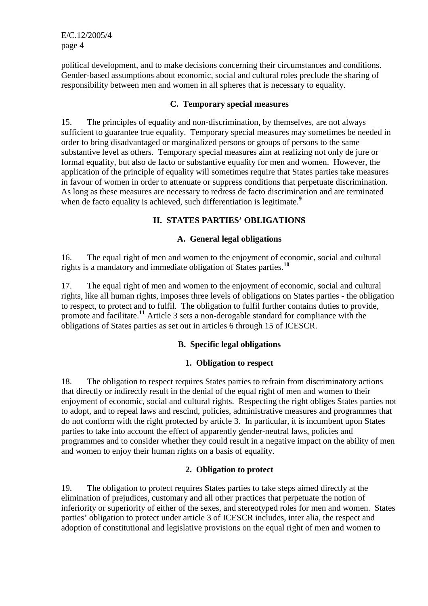political development, and to make decisions concerning their circumstances and conditions. Gender-based assumptions about economic, social and cultural roles preclude the sharing of responsibility between men and women in all spheres that is necessary to equality.

#### **C. Temporary special measures**

15. The principles of equality and non-discrimination, by themselves, are not always sufficient to guarantee true equality. Temporary special measures may sometimes be needed in order to bring disadvantaged or marginalized persons or groups of persons to the same substantive level as others. Temporary special measures aim at realizing not only de jure or formal equality, but also de facto or substantive equality for men and women. However, the application of the principle of equality will sometimes require that States parties take measures in favour of women in order to attenuate or suppress conditions that perpetuate discrimination. As long as these measures are necessary to redress de facto discrimination and are terminated when de facto equality is achieved, such differentiation is legitimate.<sup>9</sup>

## **II. STATES PARTIES' OBLIGATIONS**

## **A. General legal obligations**

16. The equal right of men and women to the enjoyment of economic, social and cultural rights is a mandatory and immediate obligation of States parties.**<sup>10</sup>**

17. The equal right of men and women to the enjoyment of economic, social and cultural rights, like all human rights, imposes three levels of obligations on States parties - the obligation to respect, to protect and to fulfil. The obligation to fulfil further contains duties to provide, promote and facilitate.<sup>11</sup> Article 3 sets a non-derogable standard for compliance with the obligations of States parties as set out in articles 6 through 15 of ICESCR.

# **B. Specific legal obligations**

## **1. Obligation to respect**

18. The obligation to respect requires States parties to refrain from discriminatory actions that directly or indirectly result in the denial of the equal right of men and women to their enjoyment of economic, social and cultural rights. Respecting the right obliges States parties not to adopt, and to repeal laws and rescind, policies, administrative measures and programmes that do not conform with the right protected by article 3. In particular, it is incumbent upon States parties to take into account the effect of apparently gender-neutral laws, policies and programmes and to consider whether they could result in a negative impact on the ability of men and women to enjoy their human rights on a basis of equality.

## **2. Obligation to protect**

19. The obligation to protect requires States parties to take steps aimed directly at the elimination of prejudices, customary and all other practices that perpetuate the notion of inferiority or superiority of either of the sexes, and stereotyped roles for men and women. States parties' obligation to protect under article 3 of ICESCR includes, inter alia, the respect and adoption of constitutional and legislative provisions on the equal right of men and women to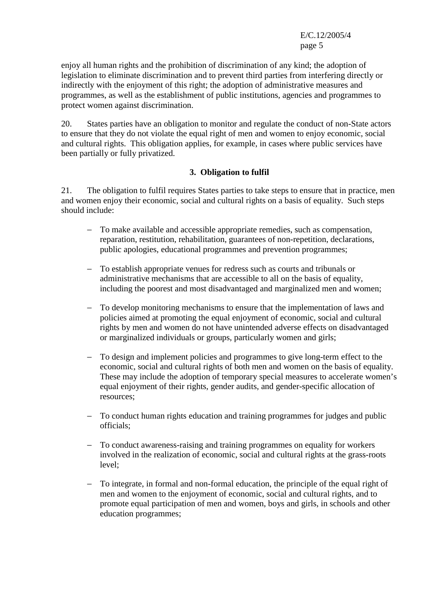enjoy all human rights and the prohibition of discrimination of any kind; the adoption of legislation to eliminate discrimination and to prevent third parties from interfering directly or indirectly with the enjoyment of this right; the adoption of administrative measures and programmes, as well as the establishment of public institutions, agencies and programmes to protect women against discrimination.

20. States parties have an obligation to monitor and regulate the conduct of non-State actors to ensure that they do not violate the equal right of men and women to enjoy economic, social and cultural rights. This obligation applies, for example, in cases where public services have been partially or fully privatized.

## **3. Obligation to fulfil**

21. The obligation to fulfil requires States parties to take steps to ensure that in practice, men and women enjoy their economic, social and cultural rights on a basis of equality. Such steps should include:

- − To make available and accessible appropriate remedies, such as compensation, reparation, restitution, rehabilitation, guarantees of non-repetition, declarations, public apologies, educational programmes and prevention programmes;
- − To establish appropriate venues for redress such as courts and tribunals or administrative mechanisms that are accessible to all on the basis of equality, including the poorest and most disadvantaged and marginalized men and women;
- − To develop monitoring mechanisms to ensure that the implementation of laws and policies aimed at promoting the equal enjoyment of economic, social and cultural rights by men and women do not have unintended adverse effects on disadvantaged or marginalized individuals or groups, particularly women and girls;
- − To design and implement policies and programmes to give long-term effect to the economic, social and cultural rights of both men and women on the basis of equality. These may include the adoption of temporary special measures to accelerate women's equal enjoyment of their rights, gender audits, and gender-specific allocation of resources;
- − To conduct human rights education and training programmes for judges and public officials;
- − To conduct awareness-raising and training programmes on equality for workers involved in the realization of economic, social and cultural rights at the grass-roots level;
- To integrate, in formal and non-formal education, the principle of the equal right of men and women to the enjoyment of economic, social and cultural rights, and to promote equal participation of men and women, boys and girls, in schools and other education programmes;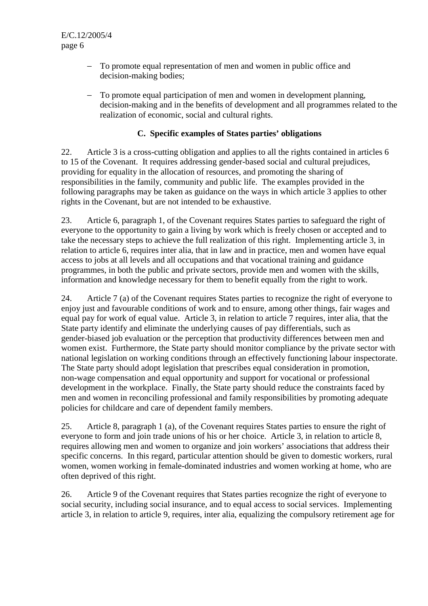- − To promote equal representation of men and women in public office and decision-making bodies;
- − To promote equal participation of men and women in development planning, decision-making and in the benefits of development and all programmes related to the realization of economic, social and cultural rights.

## **C. Specific examples of States parties' obligations**

22. Article 3 is a cross-cutting obligation and applies to all the rights contained in articles 6 to 15 of the Covenant. It requires addressing gender-based social and cultural prejudices, providing for equality in the allocation of resources, and promoting the sharing of responsibilities in the family, community and public life. The examples provided in the following paragraphs may be taken as guidance on the ways in which article 3 applies to other rights in the Covenant, but are not intended to be exhaustive.

23. Article 6, paragraph 1, of the Covenant requires States parties to safeguard the right of everyone to the opportunity to gain a living by work which is freely chosen or accepted and to take the necessary steps to achieve the full realization of this right. Implementing article 3, in relation to article 6, requires inter alia, that in law and in practice, men and women have equal access to jobs at all levels and all occupations and that vocational training and guidance programmes, in both the public and private sectors, provide men and women with the skills, information and knowledge necessary for them to benefit equally from the right to work.

24. Article 7 (a) of the Covenant requires States parties to recognize the right of everyone to enjoy just and favourable conditions of work and to ensure, among other things, fair wages and equal pay for work of equal value. Article 3, in relation to article 7 requires, inter alia, that the State party identify and eliminate the underlying causes of pay differentials, such as gender-biased job evaluation or the perception that productivity differences between men and women exist. Furthermore, the State party should monitor compliance by the private sector with national legislation on working conditions through an effectively functioning labour inspectorate. The State party should adopt legislation that prescribes equal consideration in promotion, non-wage compensation and equal opportunity and support for vocational or professional development in the workplace. Finally, the State party should reduce the constraints faced by men and women in reconciling professional and family responsibilities by promoting adequate policies for childcare and care of dependent family members.

25. Article 8, paragraph 1 (a), of the Covenant requires States parties to ensure the right of everyone to form and join trade unions of his or her choice. Article 3, in relation to article 8, requires allowing men and women to organize and join workers' associations that address their specific concerns. In this regard, particular attention should be given to domestic workers, rural women, women working in female-dominated industries and women working at home, who are often deprived of this right.

26. Article 9 of the Covenant requires that States parties recognize the right of everyone to social security, including social insurance, and to equal access to social services. Implementing article 3, in relation to article 9, requires, inter alia, equalizing the compulsory retirement age for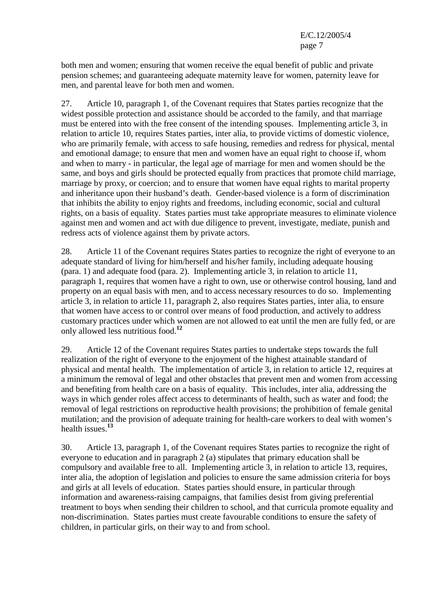both men and women; ensuring that women receive the equal benefit of public and private pension schemes; and guaranteeing adequate maternity leave for women, paternity leave for men, and parental leave for both men and women.

27. Article 10, paragraph 1, of the Covenant requires that States parties recognize that the widest possible protection and assistance should be accorded to the family, and that marriage must be entered into with the free consent of the intending spouses. Implementing article 3, in relation to article 10, requires States parties, inter alia, to provide victims of domestic violence, who are primarily female, with access to safe housing, remedies and redress for physical, mental and emotional damage; to ensure that men and women have an equal right to choose if, whom and when to marry - in particular, the legal age of marriage for men and women should be the same, and boys and girls should be protected equally from practices that promote child marriage, marriage by proxy, or coercion; and to ensure that women have equal rights to marital property and inheritance upon their husband's death. Gender-based violence is a form of discrimination that inhibits the ability to enjoy rights and freedoms, including economic, social and cultural rights, on a basis of equality. States parties must take appropriate measures to eliminate violence against men and women and act with due diligence to prevent, investigate, mediate, punish and redress acts of violence against them by private actors.

28. Article 11 of the Covenant requires States parties to recognize the right of everyone to an adequate standard of living for him/herself and his/her family, including adequate housing (para. 1) and adequate food (para. 2). Implementing article 3, in relation to article 11, paragraph 1, requires that women have a right to own, use or otherwise control housing, land and property on an equal basis with men, and to access necessary resources to do so. Implementing article 3, in relation to article 11, paragraph 2, also requires States parties, inter alia, to ensure that women have access to or control over means of food production, and actively to address customary practices under which women are not allowed to eat until the men are fully fed, or are only allowed less nutritious food.**<sup>12</sup>**

29. Article 12 of the Covenant requires States parties to undertake steps towards the full realization of the right of everyone to the enjoyment of the highest attainable standard of physical and mental health. The implementation of article 3, in relation to article 12, requires at a minimum the removal of legal and other obstacles that prevent men and women from accessing and benefiting from health care on a basis of equality. This includes*,* inter alia*,* addressing the ways in which gender roles affect access to determinants of health, such as water and food; the removal of legal restrictions on reproductive health provisions; the prohibition of female genital mutilation; and the provision of adequate training for health-care workers to deal with women's health issues.**<sup>13</sup>**

30. Article 13, paragraph 1, of the Covenant requires States parties to recognize the right of everyone to education and in paragraph 2 (a) stipulates that primary education shall be compulsory and available free to all. Implementing article 3, in relation to article 13, requires, inter alia, the adoption of legislation and policies to ensure the same admission criteria for boys and girls at all levels of education. States parties should ensure, in particular through information and awareness-raising campaigns, that families desist from giving preferential treatment to boys when sending their children to school, and that curricula promote equality and non-discrimination. States parties must create favourable conditions to ensure the safety of children, in particular girls, on their way to and from school.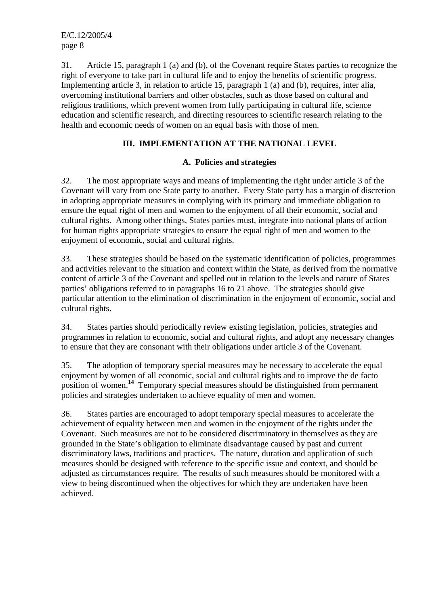31. Article 15, paragraph 1 (a) and (b), of the Covenant require States parties to recognize the right of everyone to take part in cultural life and to enjoy the benefits of scientific progress. Implementing article 3, in relation to article 15, paragraph 1 (a) and (b), requires, inter alia, overcoming institutional barriers and other obstacles, such as those based on cultural and religious traditions, which prevent women from fully participating in cultural life, science education and scientific research, and directing resources to scientific research relating to the health and economic needs of women on an equal basis with those of men.

# **III. IMPLEMENTATION AT THE NATIONAL LEVEL**

# **A. Policies and strategies**

32. The most appropriate ways and means of implementing the right under article 3 of the Covenant will vary from one State party to another. Every State party has a margin of discretion in adopting appropriate measures in complying with its primary and immediate obligation to ensure the equal right of men and women to the enjoyment of all their economic, social and cultural rights. Among other things, States parties must, integrate into national plans of action for human rights appropriate strategies to ensure the equal right of men and women to the enjoyment of economic, social and cultural rights.

33. These strategies should be based on the systematic identification of policies, programmes and activities relevant to the situation and context within the State, as derived from the normative content of article 3 of the Covenant and spelled out in relation to the levels and nature of States parties' obligations referred to in paragraphs 16 to 21 above. The strategies should give particular attention to the elimination of discrimination in the enjoyment of economic, social and cultural rights.

34. States parties should periodically review existing legislation, policies, strategies and programmes in relation to economic, social and cultural rights, and adopt any necessary changes to ensure that they are consonant with their obligations under article 3 of the Covenant.

35. The adoption of temporary special measures may be necessary to accelerate the equal enjoyment by women of all economic, social and cultural rights and to improve the de facto position of women.**<sup>14</sup>** Temporary special measures should be distinguished from permanent policies and strategies undertaken to achieve equality of men and women.

36. States parties are encouraged to adopt temporary special measures to accelerate the achievement of equality between men and women in the enjoyment of the rights under the Covenant. Such measures are not to be considered discriminatory in themselves as they are grounded in the State's obligation to eliminate disadvantage caused by past and current discriminatory laws, traditions and practices. The nature, duration and application of such measures should be designed with reference to the specific issue and context, and should be adjusted as circumstances require. The results of such measures should be monitored with a view to being discontinued when the objectives for which they are undertaken have been achieved.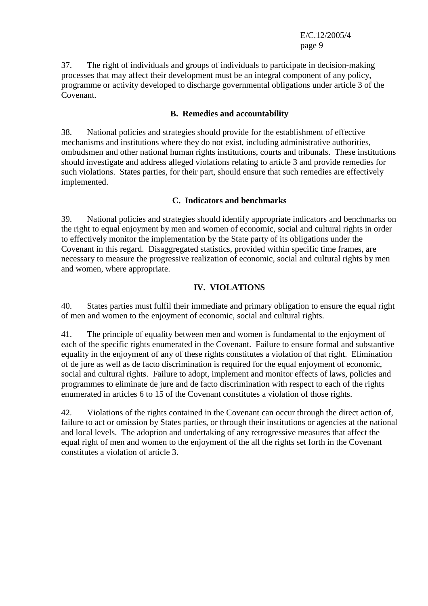37. The right of individuals and groups of individuals to participate in decision-making processes that may affect their development must be an integral component of any policy, programme or activity developed to discharge governmental obligations under article 3 of the Covenant.

#### **B. Remedies and accountability**

38. National policies and strategies should provide for the establishment of effective mechanisms and institutions where they do not exist, including administrative authorities, ombudsmen and other national human rights institutions, courts and tribunals. These institutions should investigate and address alleged violations relating to article 3 and provide remedies for such violations. States parties, for their part, should ensure that such remedies are effectively implemented.

#### **C. Indicators and benchmarks**

39. National policies and strategies should identify appropriate indicators and benchmarks on the right to equal enjoyment by men and women of economic, social and cultural rights in order to effectively monitor the implementation by the State party of its obligations under the Covenant in this regard. Disaggregated statistics, provided within specific time frames, are necessary to measure the progressive realization of economic, social and cultural rights by men and women, where appropriate.

#### **IV. VIOLATIONS**

40. States parties must fulfil their immediate and primary obligation to ensure the equal right of men and women to the enjoyment of economic, social and cultural rights.

41. The principle of equality between men and women is fundamental to the enjoyment of each of the specific rights enumerated in the Covenant. Failure to ensure formal and substantive equality in the enjoyment of any of these rights constitutes a violation of that right. Elimination of de jure as well as de facto discrimination is required for the equal enjoyment of economic, social and cultural rights. Failure to adopt, implement and monitor effects of laws, policies and programmes to eliminate de jure and de facto discrimination with respect to each of the rights enumerated in articles 6 to 15 of the Covenant constitutes a violation of those rights.

42. Violations of the rights contained in the Covenant can occur through the direct action of, failure to act or omission by States parties, or through their institutions or agencies at the national and local levels. The adoption and undertaking of any retrogressive measures that affect the equal right of men and women to the enjoyment of the all the rights set forth in the Covenant constitutes a violation of article 3.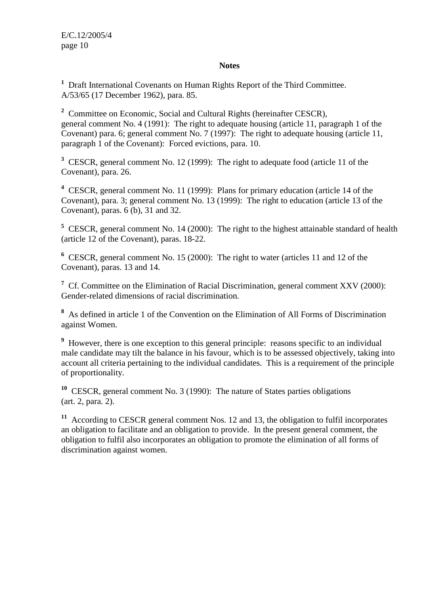#### **Notes**

<sup>1</sup> Draft International Covenants on Human Rights Report of the Third Committee. A/53/65 (17 December 1962), para. 85.

<sup>2</sup> Committee on Economic, Social and Cultural Rights (hereinafter CESCR), general comment No. 4 (1991): The right to adequate housing (article 11, paragraph 1 of the Covenant) para. 6; general comment No. 7 (1997): The right to adequate housing (article 11, paragraph 1 of the Covenant): Forced evictions, para. 10.

<sup>3</sup> CESCR, general comment No. 12 (1999): The right to adequate food (article 11 of the Covenant), para. 26.

**4** CESCR, general comment No. 11 (1999): Plans for primary education (article 14 of the Covenant), para. 3; general comment No. 13 (1999): The right to education (article 13 of the Covenant), paras. 6 (b), 31 and 32.

<sup>5</sup> CESCR, general comment No. 14 (2000): The right to the highest attainable standard of health (article 12 of the Covenant), paras. 18-22.

**6** CESCR, general comment No. 15 (2000): The right to water (articles 11 and 12 of the Covenant), paras. 13 and 14.

<sup>7</sup> Cf. Committee on the Elimination of Racial Discrimination, general comment XXV (2000): Gender-related dimensions of racial discrimination.

<sup>8</sup> As defined in article 1 of the Convention on the Elimination of All Forms of Discrimination against Women.

<sup>9</sup> However, there is one exception to this general principle: reasons specific to an individual male candidate may tilt the balance in his favour, which is to be assessed objectively, taking into account all criteria pertaining to the individual candidates. This is a requirement of the principle of proportionality.

**<sup>10</sup>** CESCR, general comment No. 3 (1990): The nature of States parties obligations (art. 2, para. 2).

**<sup>11</sup>** According to CESCR general comment Nos. 12 and 13, the obligation to fulfil incorporates an obligation to facilitate and an obligation to provide. In the present general comment, the obligation to fulfil also incorporates an obligation to promote the elimination of all forms of discrimination against women.